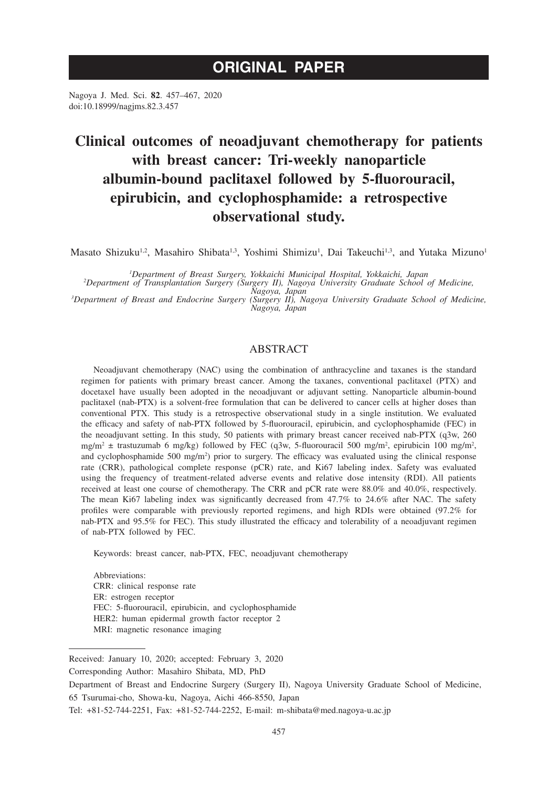# **ORIGINAL PAPER**

Nagoya J. Med. Sci. **82**. 457–467, 2020 doi:10.18999/nagjms.82.3.457

# **Clinical outcomes of neoadjuvant chemotherapy for patients with breast cancer: Tri-weekly nanoparticle albumin-bound paclitaxel followed by 5-fluorouracil, epirubicin, and cyclophosphamide: a retrospective observational study.**

Masato Shizuku<sup>1,2</sup>, Masahiro Shibata<sup>1,3</sup>, Yoshimi Shimizu<sup>1</sup>, Dai Takeuchi<sup>1,3</sup>, and Yutaka Mizuno<sup>1</sup>

*1 Department of Breast Surgery, Yokkaichi Municipal Hospital, Yokkaichi, Japan <sup>2</sup>*

*Department of Transplantation Surgery (Surgery II), Nagoya University Graduate School of Medicine,* 

*Nagoya, Japan*<br><sup>3</sup> Department of Breast and Endocrine Surgery (Surgery II), Nagoya University Graduate School of Medicine, *Nagoya, Japan*

# ABSTRACT

Neoadjuvant chemotherapy (NAC) using the combination of anthracycline and taxanes is the standard regimen for patients with primary breast cancer. Among the taxanes, conventional paclitaxel (PTX) and docetaxel have usually been adopted in the neoadjuvant or adjuvant setting. Nanoparticle albumin-bound paclitaxel (nab-PTX) is a solvent-free formulation that can be delivered to cancer cells at higher doses than conventional PTX. This study is a retrospective observational study in a single institution. We evaluated the efficacy and safety of nab-PTX followed by 5-fluorouracil, epirubicin, and cyclophosphamide (FEC) in the neoadjuvant setting. In this study, 50 patients with primary breast cancer received nab-PTX (q3w, 260 mg/m<sup>2</sup>  $\pm$  trastuzumab 6 mg/kg) followed by FEC (q3w, 5-fluorouracil 500 mg/m<sup>2</sup>, epirubicin 100 mg/m<sup>2</sup>, and cyclophosphamide 500 mg/m<sup>2</sup>) prior to surgery. The efficacy was evaluated using the clinical response rate (CRR), pathological complete response (pCR) rate, and Ki67 labeling index. Safety was evaluated using the frequency of treatment-related adverse events and relative dose intensity (RDI). All patients received at least one course of chemotherapy. The CRR and pCR rate were 88.0% and 40.0%, respectively. The mean Ki67 labeling index was significantly decreased from 47.7% to 24.6% after NAC. The safety profiles were comparable with previously reported regimens, and high RDIs were obtained (97.2% for nab-PTX and 95.5% for FEC). This study illustrated the efficacy and tolerability of a neoadjuvant regimen of nab-PTX followed by FEC.

Keywords: breast cancer, nab-PTX, FEC, neoadjuvant chemotherapy

Abbreviations: CRR: clinical response rate ER: estrogen receptor FEC: 5-fluorouracil, epirubicin, and cyclophosphamide HER2: human epidermal growth factor receptor 2 MRI: magnetic resonance imaging

Received: January 10, 2020; accepted: February 3, 2020

Corresponding Author: Masahiro Shibata, MD, PhD

Department of Breast and Endocrine Surgery (Surgery II), Nagoya University Graduate School of Medicine,

65 Tsurumai-cho, Showa-ku, Nagoya, Aichi 466-8550, Japan

Tel: +81-52-744-2251, Fax: +81-52-744-2252, E-mail: m-shibata@med.nagoya-u.ac.jp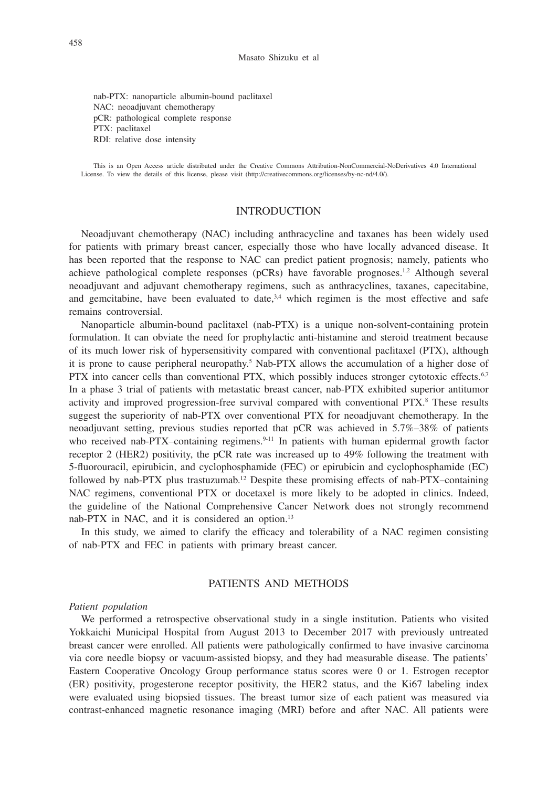nab-PTX: nanoparticle albumin-bound paclitaxel NAC: neoadjuvant chemotherapy pCR: pathological complete response PTX: paclitaxel RDI: relative dose intensity

This is an Open Access article distributed under the Creative Commons Attribution-NonCommercial-NoDerivatives 4.0 International License. To view the details of this license, please visit (http://creativecommons.org/licenses/by-nc-nd/4.0/).

# INTRODUCTION

Neoadjuvant chemotherapy (NAC) including anthracycline and taxanes has been widely used for patients with primary breast cancer, especially those who have locally advanced disease. It has been reported that the response to NAC can predict patient prognosis; namely, patients who achieve pathological complete responses ( $pCRs$ ) have favorable prognoses.<sup>1,2</sup> Although several neoadjuvant and adjuvant chemotherapy regimens, such as anthracyclines, taxanes, capecitabine, and gemcitabine, have been evaluated to date, $3.4$  which regimen is the most effective and safe remains controversial.

Nanoparticle albumin-bound paclitaxel (nab-PTX) is a unique non-solvent-containing protein formulation. It can obviate the need for prophylactic anti-histamine and steroid treatment because of its much lower risk of hypersensitivity compared with conventional paclitaxel (PTX), although it is prone to cause peripheral neuropathy.<sup>5</sup> Nab-PTX allows the accumulation of a higher dose of PTX into cancer cells than conventional PTX, which possibly induces stronger cytotoxic effects.<sup>6,7</sup> In a phase 3 trial of patients with metastatic breast cancer, nab-PTX exhibited superior antitumor activity and improved progression-free survival compared with conventional PTX.<sup>8</sup> These results suggest the superiority of nab-PTX over conventional PTX for neoadjuvant chemotherapy. In the neoadjuvant setting, previous studies reported that pCR was achieved in 5.7%–38% of patients who received nab-PTX–containing regimens.<sup>9-11</sup> In patients with human epidermal growth factor receptor 2 (HER2) positivity, the pCR rate was increased up to 49% following the treatment with 5-fluorouracil, epirubicin, and cyclophosphamide (FEC) or epirubicin and cyclophosphamide (EC) followed by nab-PTX plus trastuzumab.<sup>12</sup> Despite these promising effects of nab-PTX–containing NAC regimens, conventional PTX or docetaxel is more likely to be adopted in clinics. Indeed, the guideline of the National Comprehensive Cancer Network does not strongly recommend nab-PTX in NAC, and it is considered an option.<sup>13</sup>

In this study, we aimed to clarify the efficacy and tolerability of a NAC regimen consisting of nab-PTX and FEC in patients with primary breast cancer.

# PATIENTS AND METHODS

#### *Patient population*

We performed a retrospective observational study in a single institution. Patients who visited Yokkaichi Municipal Hospital from August 2013 to December 2017 with previously untreated breast cancer were enrolled. All patients were pathologically confirmed to have invasive carcinoma via core needle biopsy or vacuum-assisted biopsy, and they had measurable disease. The patients' Eastern Cooperative Oncology Group performance status scores were 0 or 1. Estrogen receptor (ER) positivity, progesterone receptor positivity, the HER2 status, and the Ki67 labeling index were evaluated using biopsied tissues. The breast tumor size of each patient was measured via contrast-enhanced magnetic resonance imaging (MRI) before and after NAC. All patients were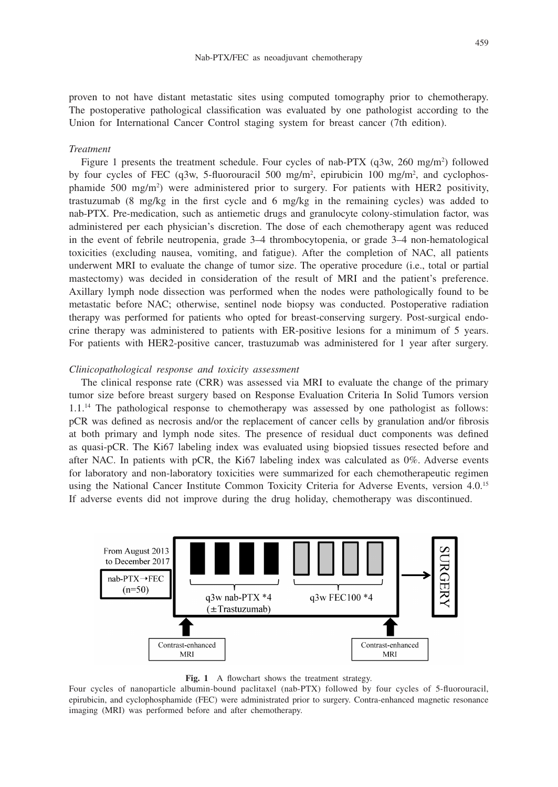proven to not have distant metastatic sites using computed tomography prior to chemotherapy. The postoperative pathological classification was evaluated by one pathologist according to the Union for International Cancer Control staging system for breast cancer (7th edition).

#### *Treatment*

Figure 1 presents the treatment schedule. Four cycles of nab-PTX (q3w, 260 mg/m<sup>2</sup>) followed by four cycles of FEC (q3w, 5-fluorouracil 500 mg/m<sup>2</sup>, epirubicin 100 mg/m<sup>2</sup>, and cyclophosphamide 500 mg/m2 ) were administered prior to surgery. For patients with HER2 positivity, trastuzumab (8 mg/kg in the first cycle and 6 mg/kg in the remaining cycles) was added to nab-PTX. Pre-medication, such as antiemetic drugs and granulocyte colony-stimulation factor, was administered per each physician's discretion. The dose of each chemotherapy agent was reduced in the event of febrile neutropenia, grade 3–4 thrombocytopenia, or grade 3–4 non-hematological toxicities (excluding nausea, vomiting, and fatigue). After the completion of NAC, all patients underwent MRI to evaluate the change of tumor size. The operative procedure (i.e., total or partial mastectomy) was decided in consideration of the result of MRI and the patient's preference. Axillary lymph node dissection was performed when the nodes were pathologically found to be metastatic before NAC; otherwise, sentinel node biopsy was conducted. Postoperative radiation therapy was performed for patients who opted for breast-conserving surgery. Post-surgical endocrine therapy was administered to patients with ER-positive lesions for a minimum of 5 years. For patients with HER2-positive cancer, trastuzumab was administered for 1 year after surgery.

#### *Clinicopathological response and toxicity assessment*

The clinical response rate (CRR) was assessed via MRI to evaluate the change of the primary tumor size before breast surgery based on Response Evaluation Criteria In Solid Tumors version 1.1.14 The pathological response to chemotherapy was assessed by one pathologist as follows: pCR was defined as necrosis and/or the replacement of cancer cells by granulation and/or fibrosis at both primary and lymph node sites. The presence of residual duct components was defined as quasi-pCR. The Ki67 labeling index was evaluated using biopsied tissues resected before and after NAC. In patients with pCR, the Ki67 labeling index was calculated as 0%. Adverse events for laboratory and non-laboratory toxicities were summarized for each chemotherapeutic regimen using the National Cancer Institute Common Toxicity Criteria for Adverse Events, version 4.0.15 If adverse events did not improve during the drug holiday, chemotherapy was discontinued.



Fig. 1 A flowchart shows the treatment strategy.

Four cycles of nanoparticle albumin-bound paclitaxel (nab-PTX) followed by four cycles of 5-fluorouracil, epirubicin, and cyclophosphamide (FEC) were administrated prior to surgery. Contra-enhanced magnetic resonance imaging (MRI) was performed before and after chemotherapy.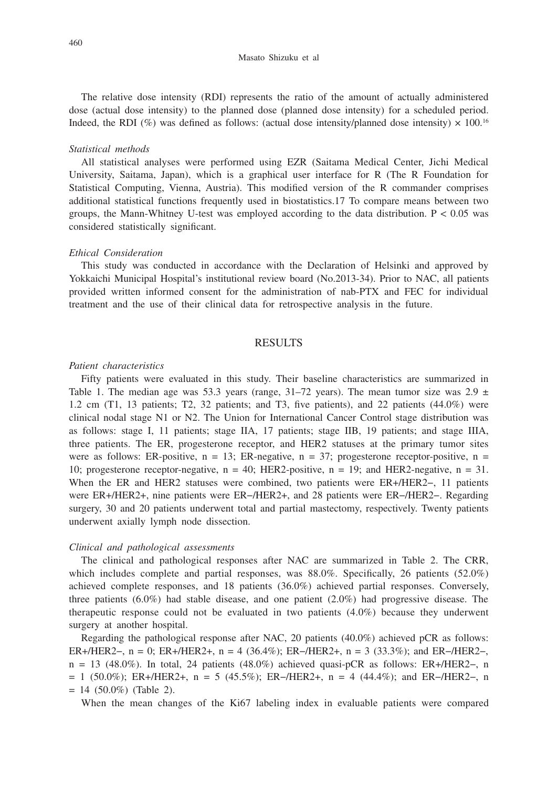The relative dose intensity (RDI) represents the ratio of the amount of actually administered dose (actual dose intensity) to the planned dose (planned dose intensity) for a scheduled period. Indeed, the RDI (%) was defined as follows: (actual dose intensity/planned dose intensity)  $\times$  100.<sup>16</sup>

#### *Statistical methods*

All statistical analyses were performed using EZR (Saitama Medical Center, Jichi Medical University, Saitama, Japan), which is a graphical user interface for R (The R Foundation for Statistical Computing, Vienna, Austria). This modified version of the R commander comprises additional statistical functions frequently used in biostatistics.17 To compare means between two groups, the Mann-Whitney U-test was employed according to the data distribution.  $P < 0.05$  was considered statistically significant.

#### *Ethical Consideration*

This study was conducted in accordance with the Declaration of Helsinki and approved by Yokkaichi Municipal Hospital's institutional review board (No.2013-34). Prior to NAC, all patients provided written informed consent for the administration of nab-PTX and FEC for individual treatment and the use of their clinical data for retrospective analysis in the future.

## RESULTS

## *Patient characteristics*

Fifty patients were evaluated in this study. Their baseline characteristics are summarized in Table 1. The median age was 53.3 years (range, 31–72 years). The mean tumor size was  $2.9 \pm$ 1.2 cm (T1, 13 patients; T2, 32 patients; and T3, five patients), and 22 patients (44.0%) were clinical nodal stage N1 or N2. The Union for International Cancer Control stage distribution was as follows: stage I, 11 patients; stage IIA, 17 patients; stage IIB, 19 patients; and stage IIIA, three patients. The ER, progesterone receptor, and HER2 statuses at the primary tumor sites were as follows: ER-positive,  $n = 13$ ; ER-negative,  $n = 37$ ; progesterone receptor-positive,  $n =$ 10; progesterone receptor-negative,  $n = 40$ ; HER2-positive,  $n = 19$ ; and HER2-negative,  $n = 31$ . When the ER and HER2 statuses were combined, two patients were ER+/HER2−, 11 patients were ER+/HER2+, nine patients were ER−/HER2+, and 28 patients were ER−/HER2−. Regarding surgery, 30 and 20 patients underwent total and partial mastectomy, respectively. Twenty patients underwent axially lymph node dissection.

#### *Clinical and pathological assessments*

The clinical and pathological responses after NAC are summarized in Table 2. The CRR, which includes complete and partial responses, was 88.0%. Specifically, 26 patients (52.0%) achieved complete responses, and 18 patients (36.0%) achieved partial responses. Conversely, three patients (6.0%) had stable disease, and one patient (2.0%) had progressive disease. The therapeutic response could not be evaluated in two patients (4.0%) because they underwent surgery at another hospital.

Regarding the pathological response after NAC, 20 patients (40.0%) achieved pCR as follows: ER+/HER2−, n = 0; ER+/HER2+, n = 4 (36.4%); ER−/HER2+, n = 3 (33.3%); and ER−/HER2−, n = 13 (48.0%). In total, 24 patients (48.0%) achieved quasi-pCR as follows: ER+/HER2−, n = 1 (50.0%); ER+/HER2+, n = 5 (45.5%); ER−/HER2+, n = 4 (44.4%); and ER−/HER2−, n  $= 14$  (50.0%) (Table 2).

When the mean changes of the Ki67 labeling index in evaluable patients were compared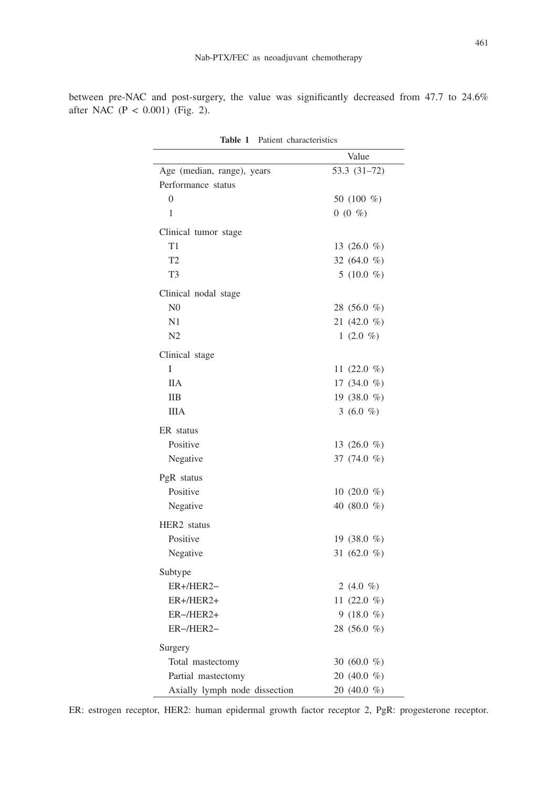between pre-NAC and post-surgery, the value was significantly decreased from 47.7 to 24.6% after NAC (P < 0.001) (Fig. 2).

|                                                     | Value                       |  |
|-----------------------------------------------------|-----------------------------|--|
| Age (median, range), years                          | 53.3 (31-72)                |  |
| Performance status                                  |                             |  |
| $\theta$                                            | 50 (100 %)                  |  |
| 1                                                   | $0(0\%)$                    |  |
| Clinical tumor stage                                |                             |  |
| T1                                                  | 13 $(26.0 %)$               |  |
| T <sub>2</sub>                                      | 32 (64.0 %)                 |  |
| T <sub>3</sub>                                      | 5 (10.0 $%$ )               |  |
| Clinical nodal stage                                |                             |  |
| N <sub>0</sub>                                      | 28 (56.0 %)                 |  |
| N1                                                  | 21 (42.0 %)                 |  |
| N <sub>2</sub>                                      | 1 $(2.0 %)$                 |  |
| Clinical stage                                      |                             |  |
| I                                                   | 11 $(22.0 \%)$              |  |
| <b>IIA</b>                                          | 17 (34.0 %)                 |  |
| <b>IIB</b>                                          | 19 $(38.0 %)$               |  |
| <b>IIIA</b>                                         | 3 (6.0 %)                   |  |
| ER status                                           |                             |  |
| Positive                                            | 13 $(26.0 %)$               |  |
| Negative                                            | 37 (74.0 %)                 |  |
| PgR status                                          |                             |  |
| Positive                                            | 10 $(20.0 %)$               |  |
| Negative                                            | 40 (80.0 $%$ )              |  |
| HER <sub>2</sub> status                             |                             |  |
| Positive                                            | 19 (38.0 $%$ )              |  |
| Negative                                            | 31 (62.0 %)                 |  |
|                                                     |                             |  |
| Subtype                                             |                             |  |
| ER+/HER2-<br>ER+/HER2+                              | 2 (4.0 %)                   |  |
| ER-/HER2+                                           | 11 $(22.0 %)$<br>9 (18.0 %) |  |
| ER-/HER2-                                           | 28 (56.0 %)                 |  |
|                                                     |                             |  |
| Surgery                                             |                             |  |
| Total mastectomy                                    | 30 (60.0 $%$ )              |  |
| Partial mastectomy<br>Axially lymph node dissection | 20 (40.0 %)<br>20 (40.0 %)  |  |

**Table 1** Patient characteristics

ER: estrogen receptor, HER2: human epidermal growth factor receptor 2, PgR: progesterone receptor.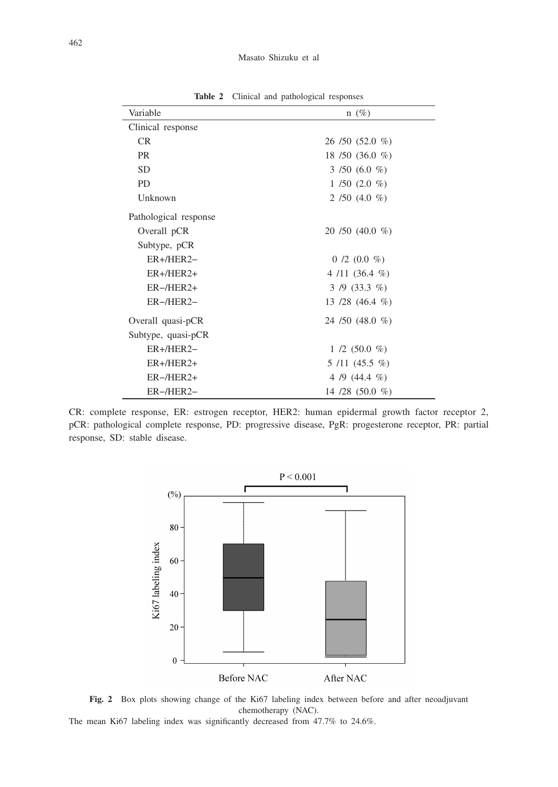| Variable              | $n(\%)$            |  |  |
|-----------------------|--------------------|--|--|
| Clinical response     |                    |  |  |
| <b>CR</b>             | $26/50(52.0\%)$    |  |  |
| <b>PR</b>             | 18 / 50 (36.0 %)   |  |  |
| <b>SD</b>             | 3 /50 (6.0 %)      |  |  |
| <b>PD</b>             | $1/50(2.0\%)$      |  |  |
| Unknown               | 2 /50 (4.0 $%$ )   |  |  |
| Pathological response |                    |  |  |
| Overall pCR           | $20/50(40.0\%)$    |  |  |
| Subtype, pCR          |                    |  |  |
| $ER+/HER2-$           | $0/2$ (0.0 %)      |  |  |
| $ER+/HER2+$           | $4/11(36.4\%)$     |  |  |
| $ER$ -/HER $2+$       | $3/9$ (33.3 %)     |  |  |
| $ER$ -/HER2-          | 13 /28 (46.4 $%$ ) |  |  |
| Overall quasi-pCR     | 24 / 50 (48.0 %)   |  |  |
| Subtype, quasi-pCR    |                    |  |  |
| $ER+/HER2-$           | $1/2$ (50.0 %)     |  |  |
| $ER+/HER2+$           | $5/11$ (45.5 %)    |  |  |
| $ER$ -/HER2+          | 4 /9 $(44.4 \%)$   |  |  |
| $ER$ -/HER2-          | 14 /28 $(50.0 %)$  |  |  |

**Table 2** Clinical and pathological responses

CR: complete response, ER: estrogen receptor, HER2: human epidermal growth factor receptor 2, pCR: pathological complete response, PD: progressive disease, PgR: progesterone receptor, PR: partial response, SD: stable disease.



**Fig. 2** Box plots showing change of the Ki67 labeling index between before and after neoadjuvant chemotherapy (NAC).

The mean Ki67 labeling index was significantly decreased from 47.7% to 24.6%.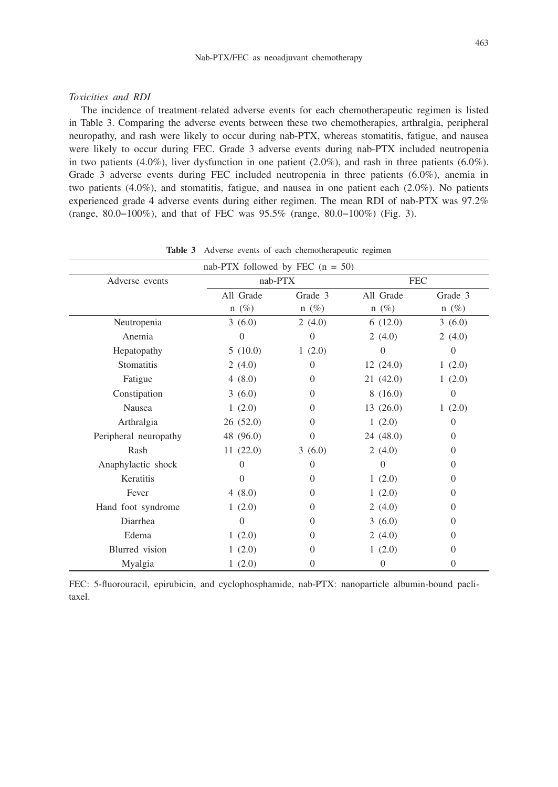## *Toxicities and RDI*

The incidence of treatment-related adverse events for each chemotherapeutic regimen is listed in Table 3. Comparing the adverse events between these two chemotherapies, arthralgia, peripheral neuropathy, and rash were likely to occur during nab-PTX, whereas stomatitis, fatigue, and nausea were likely to occur during FEC. Grade 3 adverse events during nab-PTX included neutropenia in two patients (4.0%), liver dysfunction in one patient (2.0%), and rash in three patients (6.0%). Grade 3 adverse events during FEC included neutropenia in three patients (6.0%), anemia in two patients (4.0%), and stomatitis, fatigue, and nausea in one patient each (2.0%). No patients experienced grade 4 adverse events during either regimen. The mean RDI of nab-PTX was 97.2% (range, 80.0−100%), and that of FEC was 95.5% (range, 80.0−100%) (Fig. 3).

| nab-PTX followed by FEC $(n = 50)$ |           |                |                |                |  |  |
|------------------------------------|-----------|----------------|----------------|----------------|--|--|
| Adverse events                     | nab-PTX   |                | <b>FEC</b>     |                |  |  |
|                                    | All Grade | Grade 3        | All Grade      | Grade 3        |  |  |
|                                    | $n(\%)$   | $n(\%)$        | $n(\%)$        | $n(\%)$        |  |  |
| Neutropenia                        | 3(6.0)    | 2(4.0)         | 6(12.0)        | 3(6.0)         |  |  |
| Anemia                             | $\Omega$  | $\Omega$       | 2(4.0)         | 2(4.0)         |  |  |
| Hepatopathy                        | 5(10.0)   | 1(2.0)         | $\theta$       | $\overline{0}$ |  |  |
| Stomatitis                         | 2(4.0)    | $\overline{0}$ | 12(24.0)       | 1(2.0)         |  |  |
| Fatigue                            | 4(8.0)    | $\Omega$       | 21(42.0)       | 1(2.0)         |  |  |
| Constipation                       | 3(6.0)    | $\Omega$       | 8(16.0)        | $\overline{0}$ |  |  |
| Nausea                             | 1(2.0)    | $\Omega$       | 13(26.0)       | 1(2.0)         |  |  |
| Arthralgia                         | 26(52.0)  | $\Omega$       | 1(2.0)         | $\Omega$       |  |  |
| Peripheral neuropathy              | 48 (96.0) | $\Omega$       | 24(48.0)       | $\overline{0}$ |  |  |
| Rash                               | 11(22.0)  | 3(6.0)         | 2(4.0)         | $\Omega$       |  |  |
| Anaphylactic shock                 | $\Omega$  | $\Omega$       | $\Omega$       | $\theta$       |  |  |
| Keratitis                          | $\Omega$  | $\Omega$       | 1(2.0)         | $\overline{0}$ |  |  |
| Fever                              | 4(8.0)    | $\Omega$       | 1(2.0)         | $\Omega$       |  |  |
| Hand foot syndrome                 | 1(2.0)    | $\Omega$       | 2(4.0)         | $\overline{0}$ |  |  |
| Diarrhea                           | $\theta$  | $\Omega$       | 3(6.0)         | $\overline{0}$ |  |  |
| Edema                              | 1(2.0)    | $\Omega$       | 2(4.0)         | $\Omega$       |  |  |
| Blurred vision                     | 1(2.0)    | $\Omega$       | 1(2.0)         | $\overline{0}$ |  |  |
| Myalgia                            | 1(2.0)    | $\Omega$       | $\overline{0}$ | 0              |  |  |

**Table 3** Adverse events of each chemotherapeutic regimen

FEC: 5-fluorouracil, epirubicin, and cyclophosphamide, nab-PTX: nanoparticle albumin-bound paclitaxel.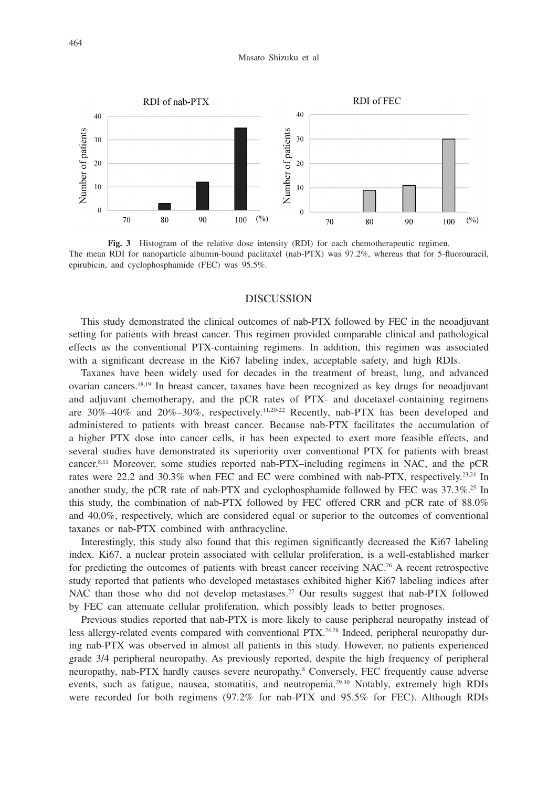#### Masato Shizuku et al



**Fig. 3** Histogram of the relative dose intensity (RDI) for each chemotherapeutic regimen. The mean RDI for nanoparticle albumin-bound paclitaxel (nab-PTX) was 97.2%, whereas that for 5-fluorouracil, epirubicin, and cyclophosphamide (FEC) was 95.5%.

## DISCUSSION

This study demonstrated the clinical outcomes of nab-PTX followed by FEC in the neoadjuvant setting for patients with breast cancer. This regimen provided comparable clinical and pathological effects as the conventional PTX-containing regimens. In addition, this regimen was associated with a significant decrease in the Ki67 labeling index, acceptable safety, and high RDIs.

Taxanes have been widely used for decades in the treatment of breast, lung, and advanced ovarian cancers.18,19 In breast cancer, taxanes have been recognized as key drugs for neoadjuvant and adjuvant chemotherapy, and the pCR rates of PTX- and docetaxel-containing regimens are  $30\% - 40\%$  and  $20\% - 30\%$ , respectively.<sup>11,20-22</sup> Recently, nab-PTX has been developed and administered to patients with breast cancer. Because nab-PTX facilitates the accumulation of a higher PTX dose into cancer cells, it has been expected to exert more feasible effects, and several studies have demonstrated its superiority over conventional PTX for patients with breast cancer.8,11 Moreover, some studies reported nab-PTX–including regimens in NAC, and the pCR rates were 22.2 and 30.3% when FEC and EC were combined with nab-PTX, respectively.<sup>23,24</sup> In another study, the pCR rate of nab-PTX and cyclophosphamide followed by FEC was  $37.3\%$ <sup>25</sup> In this study, the combination of nab-PTX followed by FEC offered CRR and pCR rate of 88.0% and 40.0%, respectively, which are considered equal or superior to the outcomes of conventional taxanes or nab-PTX combined with anthracycline.

Interestingly, this study also found that this regimen significantly decreased the Ki67 labeling index. Ki67, a nuclear protein associated with cellular proliferation, is a well-established marker for predicting the outcomes of patients with breast cancer receiving NAC.26 A recent retrospective study reported that patients who developed metastases exhibited higher Ki67 labeling indices after NAC than those who did not develop metastases.<sup>27</sup> Our results suggest that nab-PTX followed by FEC can attenuate cellular proliferation, which possibly leads to better prognoses.

Previous studies reported that nab-PTX is more likely to cause peripheral neuropathy instead of less allergy-related events compared with conventional  $PTX<sub>1</sub><sup>24,28</sup>$  Indeed, peripheral neuropathy during nab-PTX was observed in almost all patients in this study. However, no patients experienced grade 3/4 peripheral neuropathy. As previously reported, despite the high frequency of peripheral neuropathy, nab-PTX hardly causes severe neuropathy.<sup>8</sup> Conversely, FEC frequently cause adverse events, such as fatigue, nausea, stomatitis, and neutropenia.<sup>29,30</sup> Notably, extremely high RDIs were recorded for both regimens (97.2% for nab-PTX and 95.5% for FEC). Although RDIs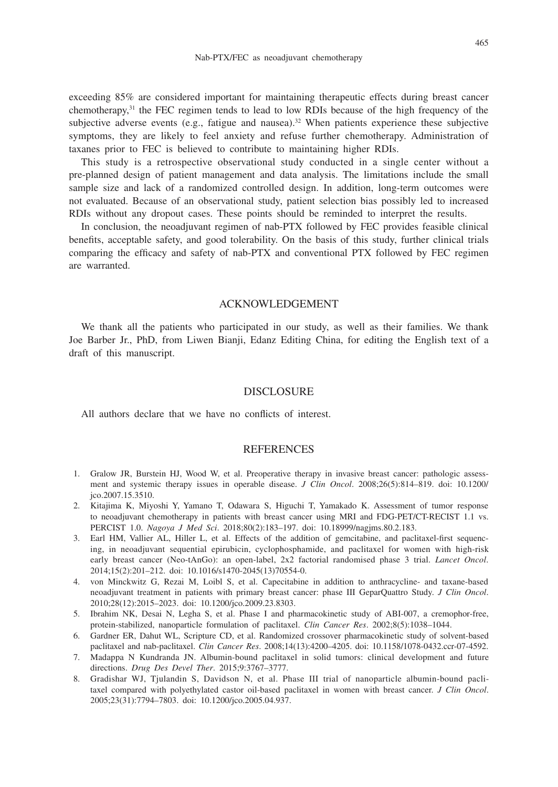exceeding 85% are considered important for maintaining therapeutic effects during breast cancer chemotherapy, $31$  the FEC regimen tends to lead to low RDIs because of the high frequency of the subjective adverse events (e.g., fatigue and nausea).<sup>32</sup> When patients experience these subjective symptoms, they are likely to feel anxiety and refuse further chemotherapy. Administration of taxanes prior to FEC is believed to contribute to maintaining higher RDIs.

This study is a retrospective observational study conducted in a single center without a pre-planned design of patient management and data analysis. The limitations include the small sample size and lack of a randomized controlled design. In addition, long-term outcomes were not evaluated. Because of an observational study, patient selection bias possibly led to increased RDIs without any dropout cases. These points should be reminded to interpret the results.

In conclusion, the neoadjuvant regimen of nab-PTX followed by FEC provides feasible clinical benefits, acceptable safety, and good tolerability. On the basis of this study, further clinical trials comparing the efficacy and safety of nab-PTX and conventional PTX followed by FEC regimen are warranted.

#### ACKNOWLEDGEMENT

We thank all the patients who participated in our study, as well as their families. We thank Joe Barber Jr., PhD, from Liwen Bianji, Edanz Editing China, for editing the English text of a draft of this manuscript.

## **DISCLOSURE**

All authors declare that we have no conflicts of interest.

## **REFERENCES**

- 1. Gralow JR, Burstein HJ, Wood W, et al. Preoperative therapy in invasive breast cancer: pathologic assessment and systemic therapy issues in operable disease. *J Clin Oncol*. 2008;26(5):814–819. doi: 10.1200/ jco.2007.15.3510.
- 2. Kitajima K, Miyoshi Y, Yamano T, Odawara S, Higuchi T, Yamakado K. Assessment of tumor response to neoadjuvant chemotherapy in patients with breast cancer using MRI and FDG-PET/CT-RECIST 1.1 vs. PERCIST 1.0. *Nagoya J Med Sci*. 2018;80(2):183–197. doi: 10.18999/nagjms.80.2.183.
- 3. Earl HM, Vallier AL, Hiller L, et al. Effects of the addition of gemcitabine, and paclitaxel-first sequencing, in neoadjuvant sequential epirubicin, cyclophosphamide, and paclitaxel for women with high-risk early breast cancer (Neo-tAnGo): an open-label, 2x2 factorial randomised phase 3 trial. *Lancet Oncol*. 2014;15(2):201–212. doi: 10.1016/s1470-2045(13)70554-0.
- 4. von Minckwitz G, Rezai M, Loibl S, et al. Capecitabine in addition to anthracycline- and taxane-based neoadjuvant treatment in patients with primary breast cancer: phase III GeparQuattro Study. *J Clin Oncol*. 2010;28(12):2015–2023. doi: 10.1200/jco.2009.23.8303.
- 5. Ibrahim NK, Desai N, Legha S, et al. Phase I and pharmacokinetic study of ABI-007, a cremophor-free, protein-stabilized, nanoparticle formulation of paclitaxel. *Clin Cancer Res*. 2002;8(5):1038–1044.
- 6. Gardner ER, Dahut WL, Scripture CD, et al. Randomized crossover pharmacokinetic study of solvent-based paclitaxel and nab-paclitaxel. *Clin Cancer Res*. 2008;14(13):4200–4205. doi: 10.1158/1078-0432.ccr-07-4592.
- 7. Madappa N Kundranda JN. Albumin-bound paclitaxel in solid tumors: clinical development and future directions. *Drug Des Devel Ther*. 2015;9:3767–3777.
- 8. Gradishar WJ, Tjulandin S, Davidson N, et al. Phase III trial of nanoparticle albumin-bound paclitaxel compared with polyethylated castor oil-based paclitaxel in women with breast cancer. *J Clin Oncol*. 2005;23(31):7794–7803. doi: 10.1200/jco.2005.04.937.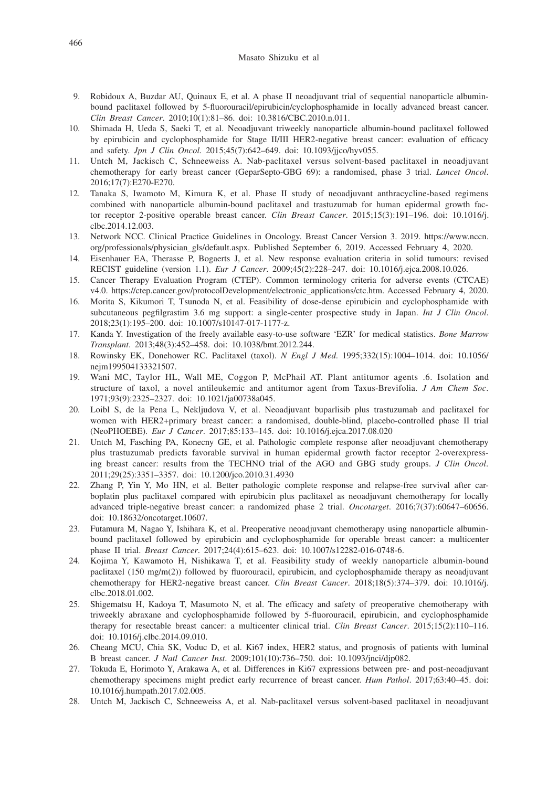#### Masato Shizuku et al

- 9. Robidoux A, Buzdar AU, Quinaux E, et al. A phase II neoadjuvant trial of sequential nanoparticle albuminbound paclitaxel followed by 5-fluorouracil/epirubicin/cyclophosphamide in locally advanced breast cancer. *Clin Breast Cancer*. 2010;10(1):81–86. doi: 10.3816/CBC.2010.n.011.
- 10. Shimada H, Ueda S, Saeki T, et al. Neoadjuvant triweekly nanoparticle albumin-bound paclitaxel followed by epirubicin and cyclophosphamide for Stage II/III HER2-negative breast cancer: evaluation of efficacy and safety. *Jpn J Clin Oncol*. 2015;45(7):642–649. doi: 10.1093/jjco/hyv055.
- 11. Untch M, Jackisch C, Schneeweiss A. Nab-paclitaxel versus solvent-based paclitaxel in neoadjuvant chemotherapy for early breast cancer (GeparSepto-GBG 69): a randomised, phase 3 trial. *Lancet Oncol*. 2016;17(7):E270-E270.
- 12. Tanaka S, Iwamoto M, Kimura K, et al. Phase II study of neoadjuvant anthracycline-based regimens combined with nanoparticle albumin-bound paclitaxel and trastuzumab for human epidermal growth factor receptor 2-positive operable breast cancer. *Clin Breast Cancer*. 2015;15(3):191–196. doi: 10.1016/j. clbc.2014.12.003.
- 13. Network NCC. Clinical Practice Guidelines in Oncology. Breast Cancer Version 3. 2019. https://www.nccn. org/professionals/physician\_gls/default.aspx. Published September 6, 2019. Accessed February 4, 2020.
- 14. Eisenhauer EA, Therasse P, Bogaerts J, et al. New response evaluation criteria in solid tumours: revised RECIST guideline (version 1.1). *Eur J Cancer*. 2009;45(2):228–247. doi: 10.1016/j.ejca.2008.10.026.
- 15. Cancer Therapy Evaluation Program (CTEP). Common terminology criteria for adverse events (CTCAE) v4.0. https://ctep.cancer.gov/protocolDevelopment/electronic\_applications/ctc.htm. Accessed February 4, 2020.
- 16. Morita S, Kikumori T, Tsunoda N, et al. Feasibility of dose-dense epirubicin and cyclophosphamide with subcutaneous pegfilgrastim 3.6 mg support: a single-center prospective study in Japan. *Int J Clin Oncol*. 2018;23(1):195–200. doi: 10.1007/s10147-017-1177-z.
- 17. Kanda Y. Investigation of the freely available easy-to-use software 'EZR' for medical statistics. *Bone Marrow Transplant*. 2013;48(3):452–458. doi: 10.1038/bmt.2012.244.
- 18. Rowinsky EK, Donehower RC. Paclitaxel (taxol). *N Engl J Med*. 1995;332(15):1004–1014. doi: 10.1056/ nejm199504133321507.
- 19. Wani MC, Taylor HL, Wall ME, Coggon P, McPhail AT. Plant antitumor agents .6. Isolation and structure of taxol, a novel antileukemic and antitumor agent from Taxus-Brevifolia. *J Am Chem Soc*. 1971;93(9):2325–2327. doi: 10.1021/ja00738a045.
- 20. Loibl S, de la Pena L, Nekljudova V, et al. Neoadjuvant buparlisib plus trastuzumab and paclitaxel for women with HER2+primary breast cancer: a randomised, double-blind, placebo-controlled phase II trial (NeoPHOEBE). *Eur J Cancer*. 2017;85:133–145. doi: 10.1016/j.ejca.2017.08.020
- 21. Untch M, Fasching PA, Konecny GE, et al. Pathologic complete response after neoadjuvant chemotherapy plus trastuzumab predicts favorable survival in human epidermal growth factor receptor 2-overexpressing breast cancer: results from the TECHNO trial of the AGO and GBG study groups. *J Clin Oncol*. 2011;29(25):3351–3357. doi: 10.1200/jco.2010.31.4930
- 22. Zhang P, Yin Y, Mo HN, et al. Better pathologic complete response and relapse-free survival after carboplatin plus paclitaxel compared with epirubicin plus paclitaxel as neoadjuvant chemotherapy for locally advanced triple-negative breast cancer: a randomized phase 2 trial. *Oncotarget*. 2016;7(37):60647–60656. doi: 10.18632/oncotarget.10607.
- 23. Futamura M, Nagao Y, Ishihara K, et al. Preoperative neoadjuvant chemotherapy using nanoparticle albuminbound paclitaxel followed by epirubicin and cyclophosphamide for operable breast cancer: a multicenter phase II trial. *Breast Cancer*. 2017;24(4):615–623. doi: 10.1007/s12282-016-0748-6.
- 24. Kojima Y, Kawamoto H, Nishikawa T, et al. Feasibility study of weekly nanoparticle albumin-bound paclitaxel (150 mg/m(2)) followed by fluorouracil, epirubicin, and cyclophosphamide therapy as neoadjuvant chemotherapy for HER2-negative breast cancer. *Clin Breast Cancer*. 2018;18(5):374–379. doi: 10.1016/j. clbc.2018.01.002.
- 25. Shigematsu H, Kadoya T, Masumoto N, et al. The efficacy and safety of preoperative chemotherapy with triweekly abraxane and cyclophosphamide followed by 5-fluorouracil, epirubicin, and cyclophosphamide therapy for resectable breast cancer: a multicenter clinical trial. *Clin Breast Cancer*. 2015;15(2):110–116. doi: 10.1016/j.clbc.2014.09.010.
- 26. Cheang MCU, Chia SK, Voduc D, et al. Ki67 index, HER2 status, and prognosis of patients with luminal B breast cancer. *J Natl Cancer Inst*. 2009;101(10):736–750. doi: 10.1093/jnci/djp082.
- 27. Tokuda E, Horimoto Y, Arakawa A, et al. Differences in Ki67 expressions between pre- and post-neoadjuvant chemotherapy specimens might predict early recurrence of breast cancer. *Hum Pathol*. 2017;63:40–45. doi: 10.1016/j.humpath.2017.02.005.
- 28. Untch M, Jackisch C, Schneeweiss A, et al. Nab-paclitaxel versus solvent-based paclitaxel in neoadjuvant